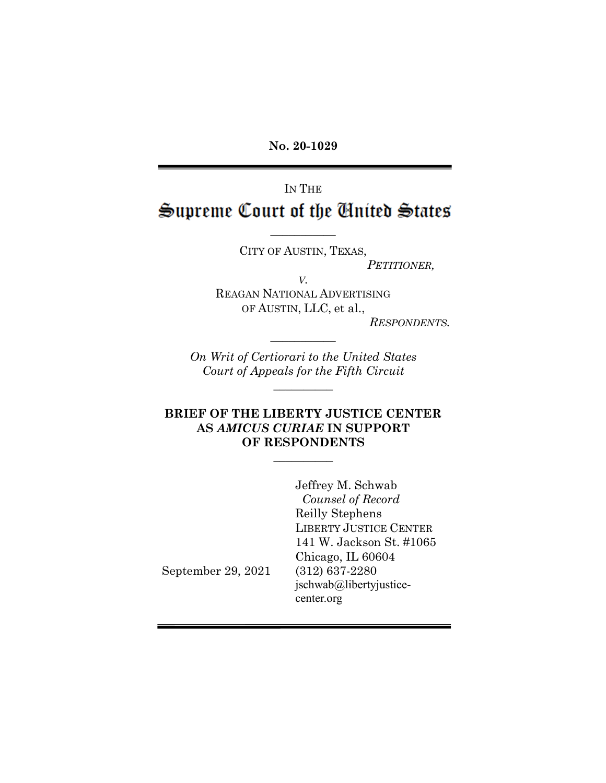**No. 20-1029**

IN THE Supreme Court of the United States

 $\overline{\phantom{a}}$ 

CITY OF AUSTIN, TEXAS, *PETITIONER,*

*V.* REAGAN NATIONAL ADVERTISING OF AUSTIN, LLC, et al.,

*RESPONDENTS.*

*On Writ of Certiorari to the United States Court of Appeals for the Fifth Circuit*

 $\overline{\phantom{a}}$ 

 $\overline{\phantom{a}}$ 

## **BRIEF OF THE LIBERTY JUSTICE CENTER AS** *AMICUS CURIAE* **IN SUPPORT OF RESPONDENTS**

 $\overline{\phantom{a}}$ 

Jeffrey M. Schwab *Counsel of Record* Reilly Stephens LIBERTY JUSTICE CENTER 141 W. Jackson St. #1065 Chicago, IL 60604 (312) 637-2280 jschwab@libertyjusticecenter.org

September 29, 2021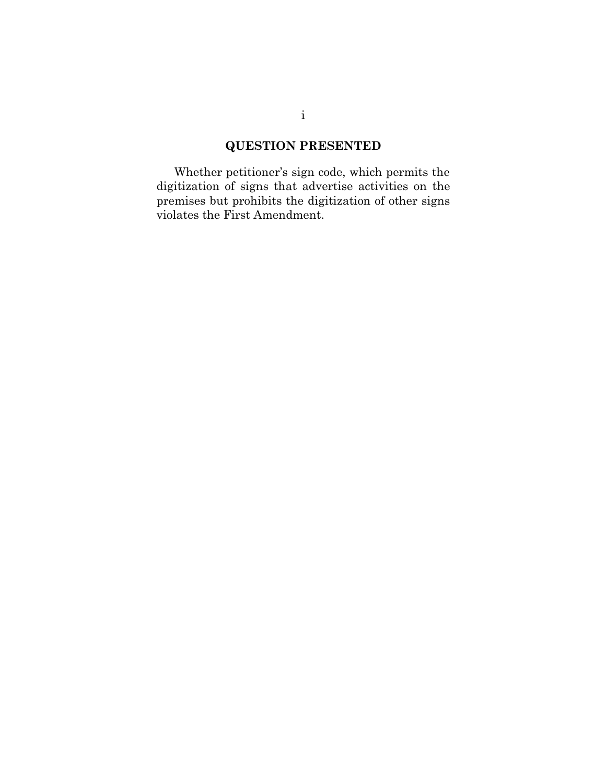# **QUESTION PRESENTED**

Whether petitioner's sign code, which permits the digitization of signs that advertise activities on the premises but prohibits the digitization of other signs violates the First Amendment.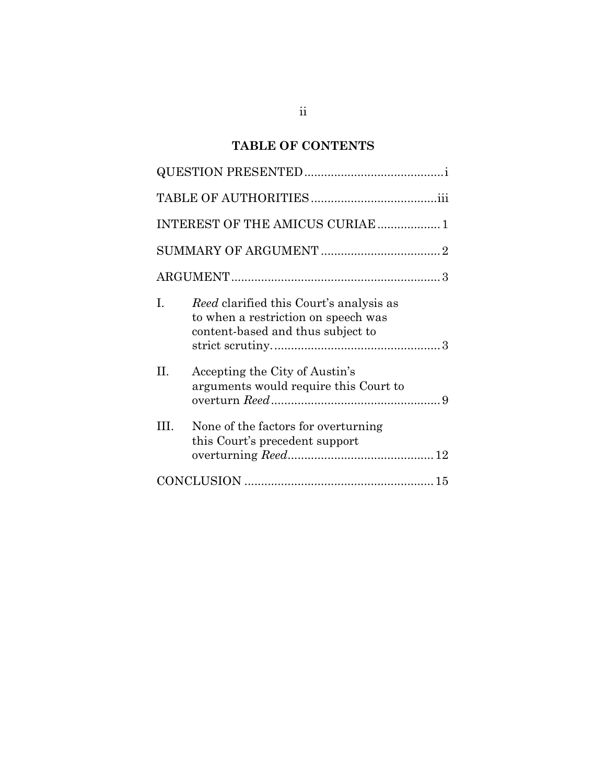# **TABLE OF CONTENTS**

| INTEREST OF THE AMICUS CURIAE  1 |                                                                                                                            |  |  |
|----------------------------------|----------------------------------------------------------------------------------------------------------------------------|--|--|
|                                  |                                                                                                                            |  |  |
|                                  |                                                                                                                            |  |  |
| L                                | <i>Reed</i> clarified this Court's analysis as<br>to when a restriction on speech was<br>content-based and thus subject to |  |  |
| П.                               | Accepting the City of Austin's<br>arguments would require this Court to                                                    |  |  |
| III.                             | None of the factors for overturning<br>this Court's precedent support                                                      |  |  |
|                                  |                                                                                                                            |  |  |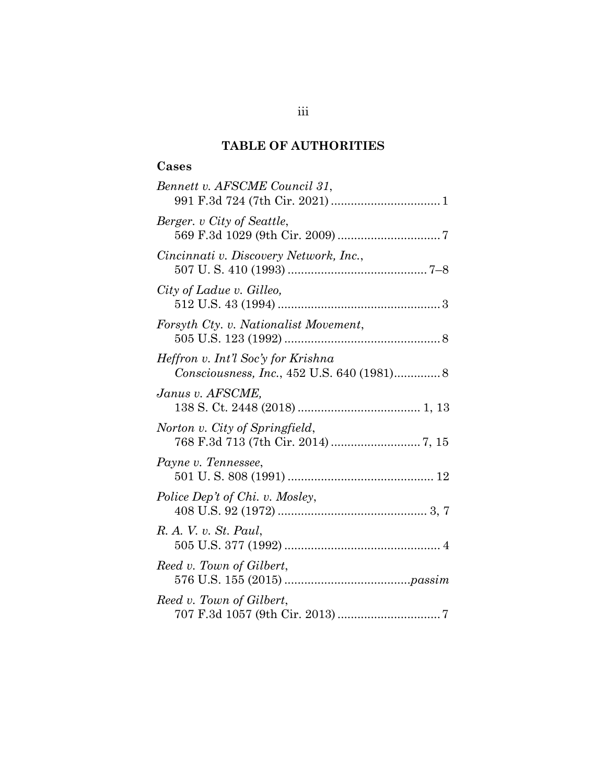## **TABLE OF AUTHORITIES**

## **Cases**

| Bennett v. AFSCME Council 31,                                                    |
|----------------------------------------------------------------------------------|
| Berger. v City of Seattle,                                                       |
| Cincinnati v. Discovery Network, Inc.,                                           |
| City of Ladue v. Gilleo,                                                         |
| Forsyth Cty. v. Nationalist Movement,                                            |
| Heffron v. Int'l Soc'y for Krishna<br>Consciousness, Inc., 452 U.S. 640 (1981) 8 |
| Janus v. AFSCME,                                                                 |
| Norton v. City of Springfield,                                                   |
| Payne v. Tennessee,                                                              |
| Police Dep't of Chi. v. Mosley,                                                  |
| R. A. V. v. St. Paul,                                                            |
| Reed v. Town of Gilbert,                                                         |
| Reed v. Town of Gilbert,                                                         |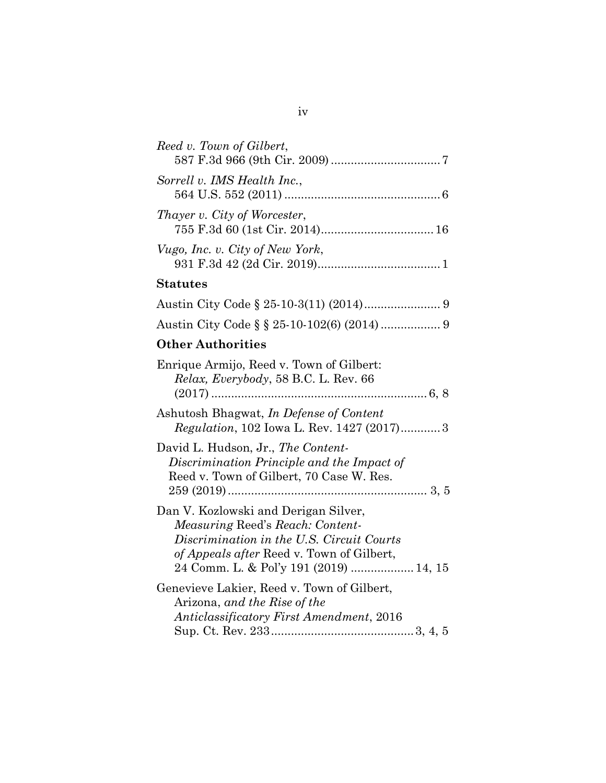| Reed v. Town of Gilbert,                                                                                                                                                                                     |
|--------------------------------------------------------------------------------------------------------------------------------------------------------------------------------------------------------------|
| Sorrell v. IMS Health Inc.,                                                                                                                                                                                  |
| Thayer v. City of Worcester,                                                                                                                                                                                 |
| Vugo, Inc. v. City of New York,                                                                                                                                                                              |
| <b>Statutes</b>                                                                                                                                                                                              |
|                                                                                                                                                                                                              |
| Austin City Code § § 25-10-102(6) (2014)  9                                                                                                                                                                  |
| <b>Other Authorities</b>                                                                                                                                                                                     |
| Enrique Armijo, Reed v. Town of Gilbert:<br>Relax, Everybody, 58 B.C. L. Rev. 66                                                                                                                             |
| Ashutosh Bhagwat, In Defense of Content<br><i>Regulation</i> , 102 Iowa L. Rev. 1427 (2017)3                                                                                                                 |
| David L. Hudson, Jr., The Content-<br>Discrimination Principle and the Impact of<br>Reed v. Town of Gilbert, 70 Case W. Res.                                                                                 |
| Dan V. Kozlowski and Derigan Silver,<br>Measuring Reed's Reach: Content-<br>Discrimination in the U.S. Circuit Courts<br>of Appeals after Reed v. Town of Gilbert,<br>24 Comm. L. & Pol'y 191 (2019)  14, 15 |
| Genevieve Lakier, Reed v. Town of Gilbert,<br>Arizona, and the Rise of the<br><b>Anticlassificatory First Amendment, 2016</b>                                                                                |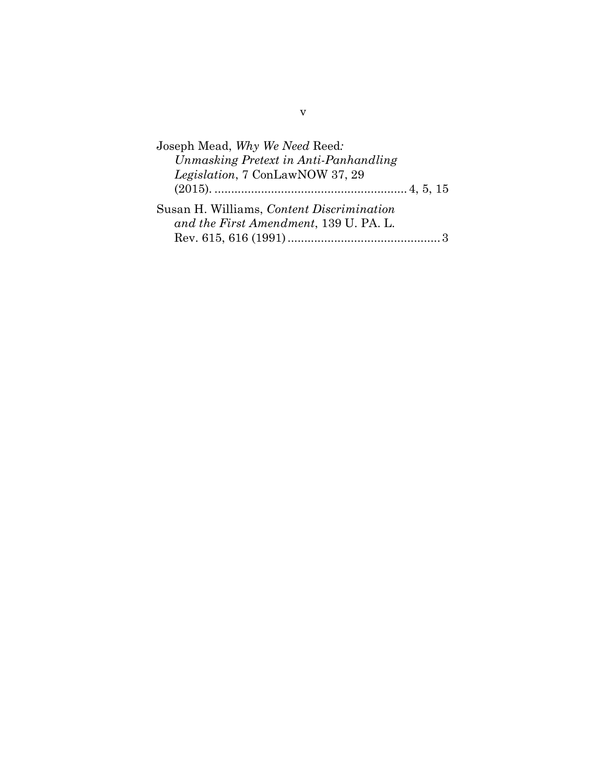| Joseph Mead, Why We Need Reed:            |  |
|-------------------------------------------|--|
| Unmasking Pretext in Anti-Panhandling     |  |
| <i>Legislation</i> , 7 ConLawNOW 37, 29   |  |
|                                           |  |
| Susan H. Williams, Content Discrimination |  |
| and the First Amendment, 139 U. PA. L.    |  |
|                                           |  |
|                                           |  |

v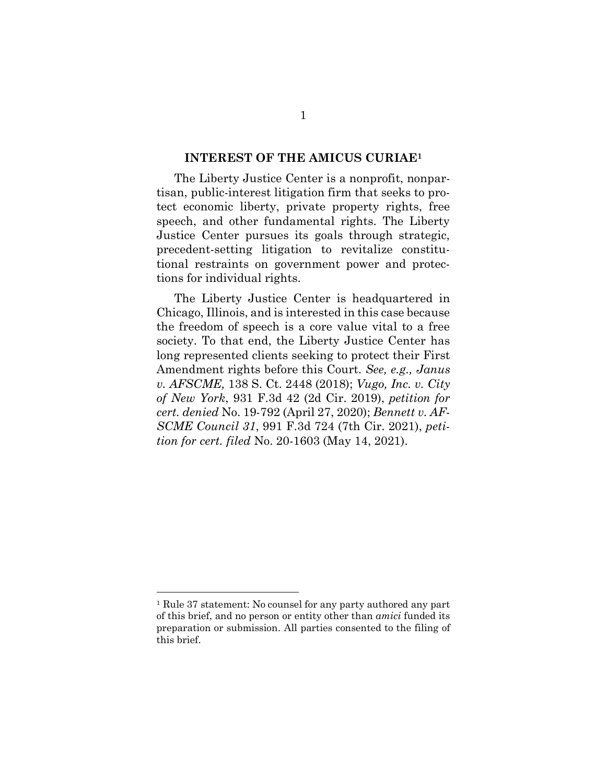#### **INTEREST OF THE AMICUS CURIAE1**

The Liberty Justice Center is a nonprofit, nonpartisan, public-interest litigation firm that seeks to protect economic liberty, private property rights, free speech, and other fundamental rights. The Liberty Justice Center pursues its goals through strategic, precedent-setting litigation to revitalize constitutional restraints on government power and protections for individual rights.

The Liberty Justice Center is headquartered in Chicago, Illinois, and is interested in this case because the freedom of speech is a core value vital to a free society. To that end, the Liberty Justice Center has long represented clients seeking to protect their First Amendment rights before this Court. *See, e.g., Janus v. AFSCME,* 138 S. Ct. 2448 (2018); *Vugo, Inc. v. City of New York*, 931 F.3d 42 (2d Cir. 2019), *petition for cert. denied* No. 19-792 (April 27, 2020); *Bennett v. AF-SCME Council 31*, 991 F.3d 724 (7th Cir. 2021), *petition for cert. filed* No. 20-1603 (May 14, 2021).

 $\overline{a}$ 

<sup>1</sup> Rule 37 statement: No counsel for any party authored any part of this brief, and no person or entity other than *amici* funded its preparation or submission. All parties consented to the filing of this brief.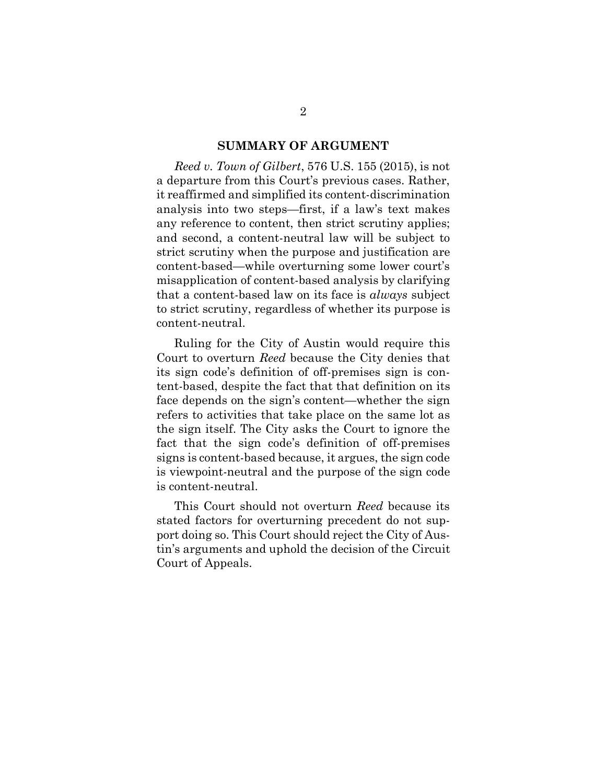#### **SUMMARY OF ARGUMENT**

*Reed v. Town of Gilbert*, 576 U.S. 155 (2015), is not a departure from this Court's previous cases. Rather, it reaffirmed and simplified its content-discrimination analysis into two steps—first, if a law's text makes any reference to content, then strict scrutiny applies; and second, a content-neutral law will be subject to strict scrutiny when the purpose and justification are content-based—while overturning some lower court's misapplication of content-based analysis by clarifying that a content-based law on its face is *always* subject to strict scrutiny, regardless of whether its purpose is content-neutral.

Ruling for the City of Austin would require this Court to overturn *Reed* because the City denies that its sign code's definition of off-premises sign is content-based, despite the fact that that definition on its face depends on the sign's content—whether the sign refers to activities that take place on the same lot as the sign itself. The City asks the Court to ignore the fact that the sign code's definition of off-premises signs is content-based because, it argues, the sign code is viewpoint-neutral and the purpose of the sign code is content-neutral.

This Court should not overturn *Reed* because its stated factors for overturning precedent do not support doing so. This Court should reject the City of Austin's arguments and uphold the decision of the Circuit Court of Appeals.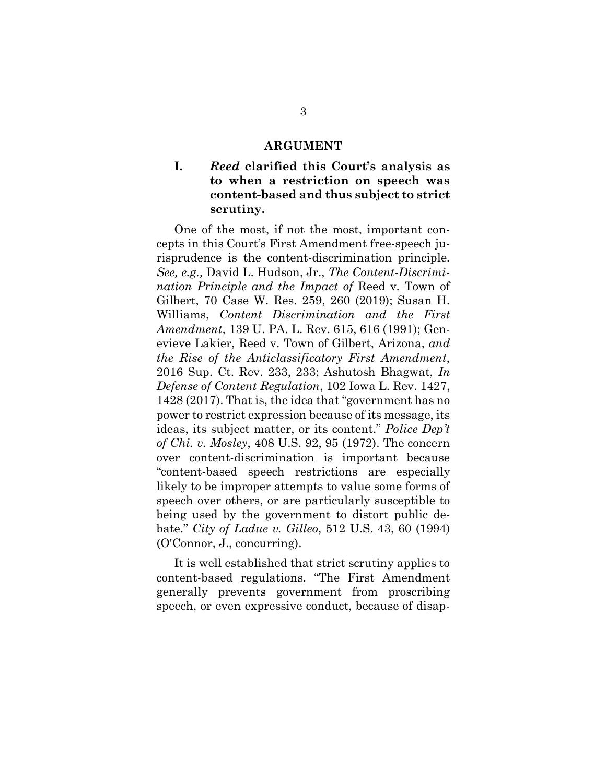#### **ARGUMENT**

## **I.** *Reed* **clarified this Court's analysis as to when a restriction on speech was content-based and thus subject to strict scrutiny.**

One of the most, if not the most, important concepts in this Court's First Amendment free-speech jurisprudence is the content-discrimination principle. *See, e.g.,* David L. Hudson, Jr., *The Content-Discrimination Principle and the Impact of* Reed v. Town of Gilbert, 70 Case W. Res. 259, 260 (2019); Susan H. Williams, *Content Discrimination and the First Amendment*, 139 U. PA. L. Rev. 615, 616 (1991); Genevieve Lakier, Reed v. Town of Gilbert, Arizona, *and the Rise of the Anticlassificatory First Amendment*, 2016 Sup. Ct. Rev. 233, 233; Ashutosh Bhagwat, *In Defense of Content Regulation*, 102 Iowa L. Rev. 1427, 1428 (2017). That is, the idea that "government has no power to restrict expression because of its message, its ideas, its subject matter, or its content." *Police Dep't of Chi. v. Mosley*, 408 U.S. 92, 95 (1972). The concern over content-discrimination is important because "content-based speech restrictions are especially likely to be improper attempts to value some forms of speech over others, or are particularly susceptible to being used by the government to distort public debate." *City of Ladue v. Gilleo*, 512 U.S. 43, 60 (1994) (O'Connor, J., concurring).

It is well established that strict scrutiny applies to content-based regulations. "The First Amendment generally prevents government from proscribing speech, or even expressive conduct, because of disap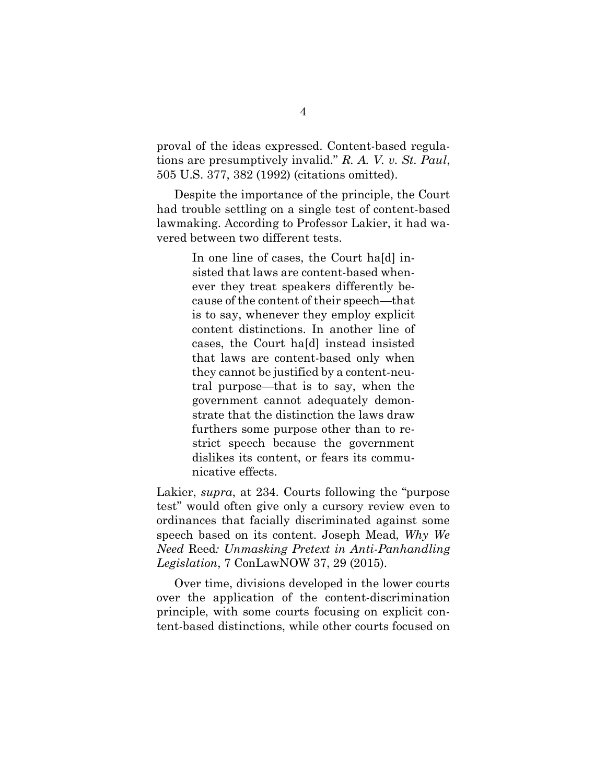proval of the ideas expressed. Content-based regulations are presumptively invalid." *R. A. V. v. St. Paul*, 505 U.S. 377, 382 (1992) (citations omitted).

Despite the importance of the principle, the Court had trouble settling on a single test of content-based lawmaking. According to Professor Lakier, it had wavered between two different tests.

> In one line of cases, the Court hald insisted that laws are content-based whenever they treat speakers differently because of the content of their speech—that is to say, whenever they employ explicit content distinctions. In another line of cases, the Court ha[d] instead insisted that laws are content-based only when they cannot be justified by a content-neutral purpose—that is to say, when the government cannot adequately demonstrate that the distinction the laws draw furthers some purpose other than to restrict speech because the government dislikes its content, or fears its communicative effects.

Lakier, *supra*, at 234. Courts following the "purpose test" would often give only a cursory review even to ordinances that facially discriminated against some speech based on its content. Joseph Mead, *Why We Need* Reed*: Unmasking Pretext in Anti-Panhandling Legislation*, 7 ConLawNOW 37, 29 (2015).

Over time, divisions developed in the lower courts over the application of the content-discrimination principle, with some courts focusing on explicit content-based distinctions, while other courts focused on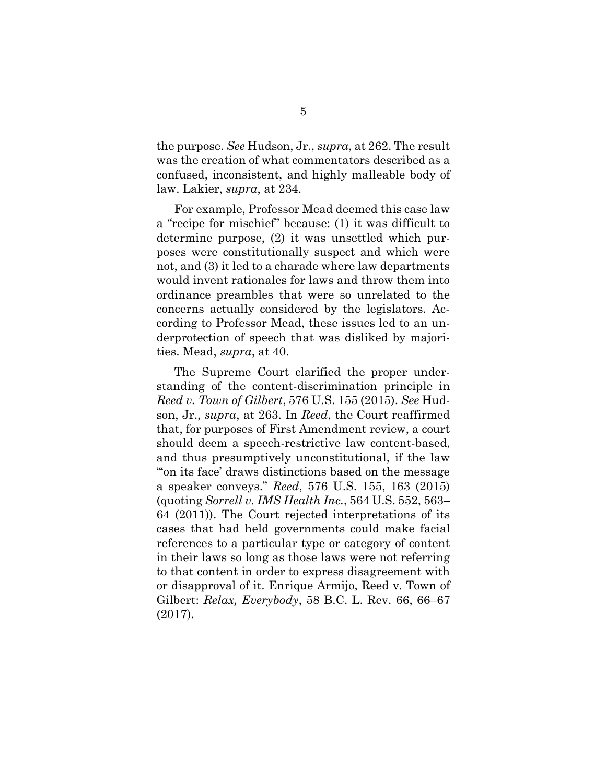the purpose. *See* Hudson, Jr., *supra*, at 262. The result was the creation of what commentators described as a confused, inconsistent, and highly malleable body of law. Lakier, *supra*, at 234.

For example, Professor Mead deemed this case law a "recipe for mischief" because: (1) it was difficult to determine purpose, (2) it was unsettled which purposes were constitutionally suspect and which were not, and (3) it led to a charade where law departments would invent rationales for laws and throw them into ordinance preambles that were so unrelated to the concerns actually considered by the legislators. According to Professor Mead, these issues led to an underprotection of speech that was disliked by majorities. Mead, *supra*, at 40.

The Supreme Court clarified the proper understanding of the content-discrimination principle in *Reed v. Town of Gilbert*, 576 U.S. 155 (2015). *See* Hudson, Jr., *supra*, at 263. In *Reed*, the Court reaffirmed that, for purposes of First Amendment review, a court should deem a speech-restrictive law content-based, and thus presumptively unconstitutional, if the law "'on its face' draws distinctions based on the message a speaker conveys." *Reed*, 576 U.S. 155, 163 (2015) (quoting *Sorrell v. IMS Health Inc.*, 564 U.S. 552, 563– 64 (2011)). The Court rejected interpretations of its cases that had held governments could make facial references to a particular type or category of content in their laws so long as those laws were not referring to that content in order to express disagreement with or disapproval of it. Enrique Armijo, Reed v. Town of Gilbert: *Relax, Everybody*, 58 B.C. L. Rev. 66, 66–67 (2017).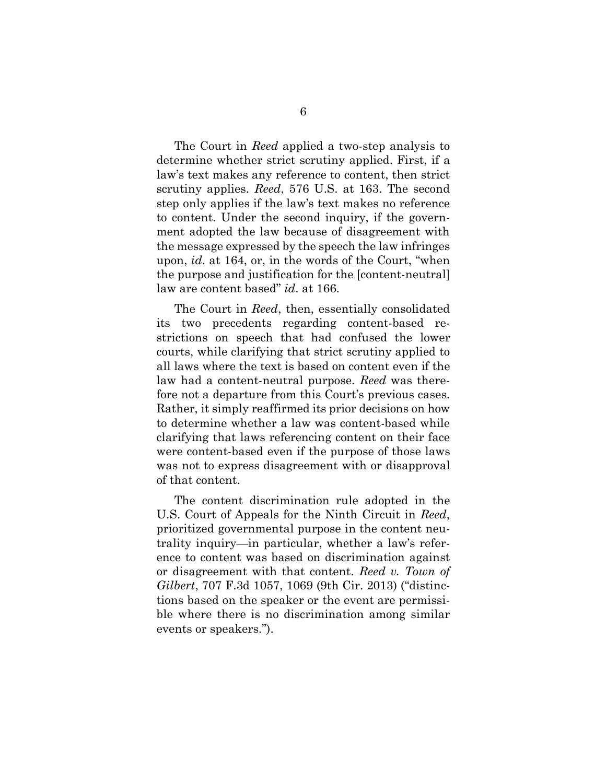The Court in *Reed* applied a two-step analysis to determine whether strict scrutiny applied. First, if a law's text makes any reference to content, then strict scrutiny applies. *Reed*, 576 U.S. at 163. The second step only applies if the law's text makes no reference to content. Under the second inquiry, if the government adopted the law because of disagreement with the message expressed by the speech the law infringes upon, *id*. at 164, or, in the words of the Court, "when the purpose and justification for the [content-neutral] law are content based" *id*. at 166.

The Court in *Reed*, then, essentially consolidated its two precedents regarding content-based restrictions on speech that had confused the lower courts, while clarifying that strict scrutiny applied to all laws where the text is based on content even if the law had a content-neutral purpose. *Reed* was therefore not a departure from this Court's previous cases. Rather, it simply reaffirmed its prior decisions on how to determine whether a law was content-based while clarifying that laws referencing content on their face were content-based even if the purpose of those laws was not to express disagreement with or disapproval of that content.

The content discrimination rule adopted in the U.S. Court of Appeals for the Ninth Circuit in *Reed*, prioritized governmental purpose in the content neutrality inquiry—in particular, whether a law's reference to content was based on discrimination against or disagreement with that content. *Reed v. Town of Gilbert*, 707 F.3d 1057, 1069 (9th Cir. 2013) ("distinctions based on the speaker or the event are permissible where there is no discrimination among similar events or speakers.").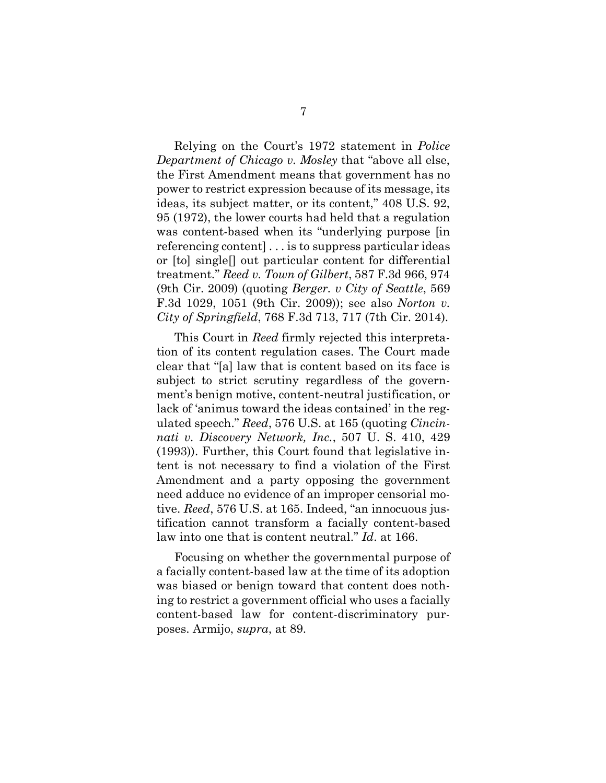Relying on the Court's 1972 statement in *Police Department of Chicago v. Mosley* that "above all else, the First Amendment means that government has no power to restrict expression because of its message, its ideas, its subject matter, or its content," 408 U.S. 92, 95 (1972), the lower courts had held that a regulation was content-based when its "underlying purpose [in referencing content] . . . is to suppress particular ideas or [to] single[] out particular content for differential treatment." *Reed v. Town of Gilbert*, 587 F.3d 966, 974 (9th Cir. 2009) (quoting *Berger. v City of Seattle*, 569 F.3d 1029, 1051 (9th Cir. 2009)); see also *Norton v. City of Springfield*, 768 F.3d 713, 717 (7th Cir. 2014).

This Court in *Reed* firmly rejected this interpretation of its content regulation cases. The Court made clear that "[a] law that is content based on its face is subject to strict scrutiny regardless of the government's benign motive, content-neutral justification, or lack of 'animus toward the ideas contained' in the regulated speech." *Reed*, 576 U.S. at 165 (quoting *Cincinnati v. Discovery Network, Inc.*, 507 U. S. 410, 429 (1993)). Further, this Court found that legislative intent is not necessary to find a violation of the First Amendment and a party opposing the government need adduce no evidence of an improper censorial motive. *Reed*, 576 U.S. at 165. Indeed, "an innocuous justification cannot transform a facially content-based law into one that is content neutral." *Id*. at 166.

Focusing on whether the governmental purpose of a facially content-based law at the time of its adoption was biased or benign toward that content does nothing to restrict a government official who uses a facially content-based law for content-discriminatory purposes. Armijo, *supra*, at 89.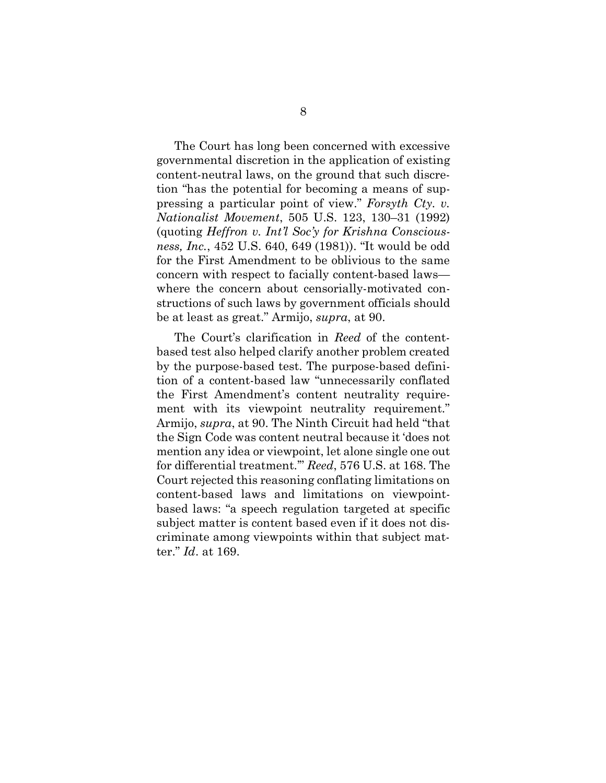The Court has long been concerned with excessive governmental discretion in the application of existing content-neutral laws, on the ground that such discretion "has the potential for becoming a means of suppressing a particular point of view." *Forsyth Cty. v. Nationalist Movement*, 505 U.S. 123, 130–31 (1992) (quoting *Heffron v. Int'l Soc'y for Krishna Consciousness, Inc.*, 452 U.S. 640, 649 (1981)). "It would be odd for the First Amendment to be oblivious to the same concern with respect to facially content-based laws where the concern about censorially-motivated constructions of such laws by government officials should be at least as great." Armijo, *supra*, at 90.

The Court's clarification in *Reed* of the contentbased test also helped clarify another problem created by the purpose-based test. The purpose-based definition of a content-based law "unnecessarily conflated the First Amendment's content neutrality requirement with its viewpoint neutrality requirement." Armijo, *supra*, at 90. The Ninth Circuit had held "that the Sign Code was content neutral because it 'does not mention any idea or viewpoint, let alone single one out for differential treatment.'" *Reed*, 576 U.S. at 168. The Court rejected this reasoning conflating limitations on content-based laws and limitations on viewpointbased laws: "a speech regulation targeted at specific subject matter is content based even if it does not discriminate among viewpoints within that subject matter." *Id*. at 169.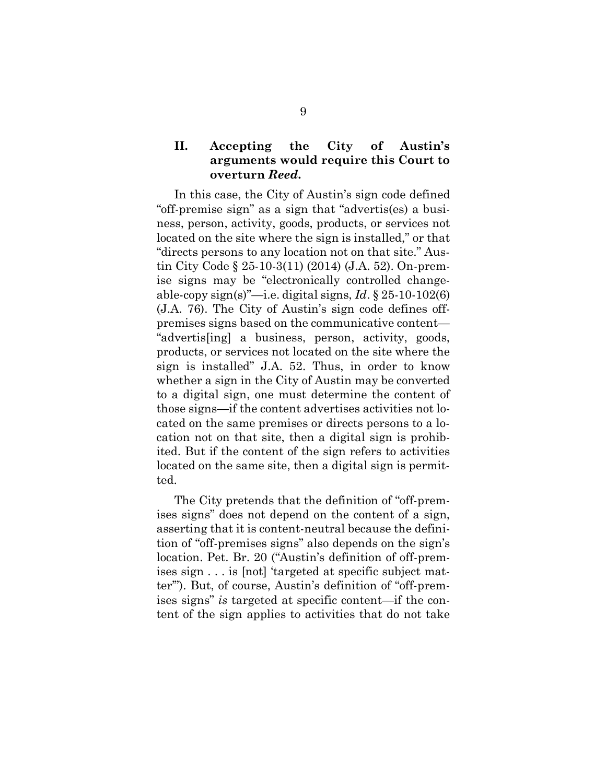## **II. Accepting the City of Austin's arguments would require this Court to overturn** *Reed***.**

In this case, the City of Austin's sign code defined "off-premise sign" as a sign that "advertis(es) a business, person, activity, goods, products, or services not located on the site where the sign is installed," or that "directs persons to any location not on that site." Austin City Code § 25-10-3(11) (2014) (J.A. 52). On-premise signs may be "electronically controlled changeable-copy sign(s)"—i.e. digital signs, *Id*. § 25-10-102(6) (J.A. 76). The City of Austin's sign code defines offpremises signs based on the communicative content— "advertis[ing] a business, person, activity, goods, products, or services not located on the site where the sign is installed" J.A. 52. Thus, in order to know whether a sign in the City of Austin may be converted to a digital sign, one must determine the content of those signs—if the content advertises activities not located on the same premises or directs persons to a location not on that site, then a digital sign is prohibited. But if the content of the sign refers to activities located on the same site, then a digital sign is permitted.

The City pretends that the definition of "off-premises signs" does not depend on the content of a sign, asserting that it is content-neutral because the definition of "off-premises signs" also depends on the sign's location. Pet. Br. 20 ("Austin's definition of off-premises sign . . . is [not] 'targeted at specific subject matter'"). But, of course, Austin's definition of "off-premises signs" *is* targeted at specific content—if the content of the sign applies to activities that do not take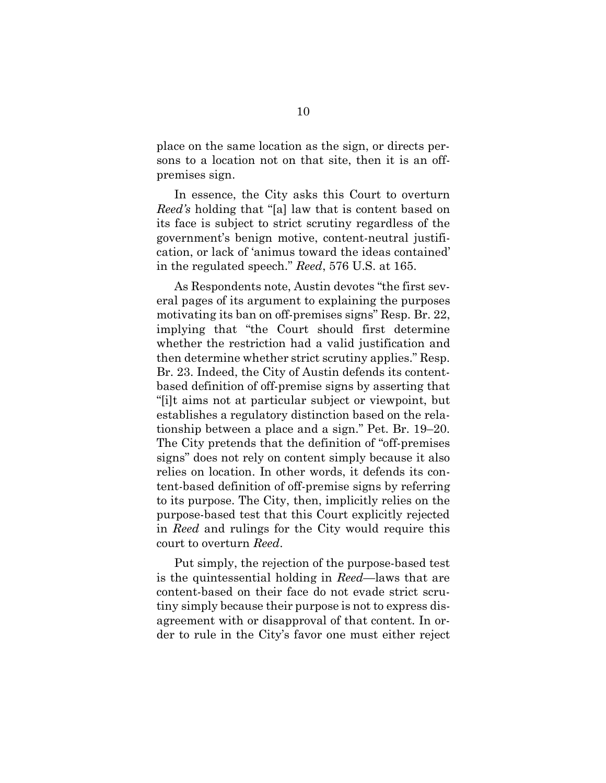place on the same location as the sign, or directs persons to a location not on that site, then it is an offpremises sign.

In essence, the City asks this Court to overturn *Reed's* holding that "[a] law that is content based on its face is subject to strict scrutiny regardless of the government's benign motive, content-neutral justification, or lack of 'animus toward the ideas contained' in the regulated speech." *Reed*, 576 U.S. at 165.

As Respondents note, Austin devotes "the first several pages of its argument to explaining the purposes motivating its ban on off-premises signs" Resp. Br. 22, implying that "the Court should first determine whether the restriction had a valid justification and then determine whether strict scrutiny applies." Resp. Br. 23. Indeed, the City of Austin defends its contentbased definition of off-premise signs by asserting that "[i]t aims not at particular subject or viewpoint, but establishes a regulatory distinction based on the relationship between a place and a sign." Pet. Br. 19–20. The City pretends that the definition of "off-premises signs" does not rely on content simply because it also relies on location. In other words, it defends its content-based definition of off-premise signs by referring to its purpose. The City, then, implicitly relies on the purpose-based test that this Court explicitly rejected in *Reed* and rulings for the City would require this court to overturn *Reed*.

Put simply, the rejection of the purpose-based test is the quintessential holding in *Reed*—laws that are content-based on their face do not evade strict scrutiny simply because their purpose is not to express disagreement with or disapproval of that content. In order to rule in the City's favor one must either reject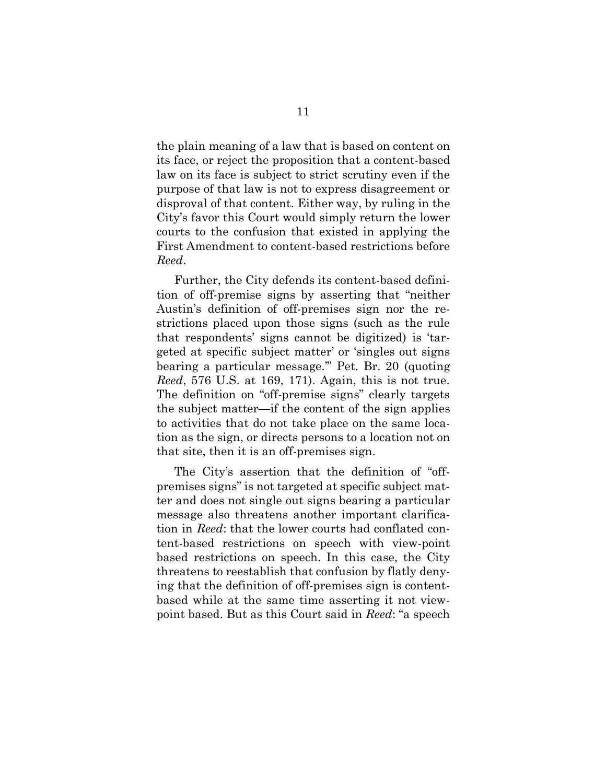the plain meaning of a law that is based on content on its face, or reject the proposition that a content-based law on its face is subject to strict scrutiny even if the purpose of that law is not to express disagreement or disproval of that content. Either way, by ruling in the City's favor this Court would simply return the lower courts to the confusion that existed in applying the First Amendment to content-based restrictions before *Reed*.

Further, the City defends its content-based definition of off-premise signs by asserting that "neither Austin's definition of off-premises sign nor the restrictions placed upon those signs (such as the rule that respondents' signs cannot be digitized) is 'targeted at specific subject matter' or 'singles out signs bearing a particular message.'" Pet. Br. 20 (quoting *Reed*, 576 U.S. at 169, 171). Again, this is not true. The definition on "off-premise signs" clearly targets the subject matter—if the content of the sign applies to activities that do not take place on the same location as the sign, or directs persons to a location not on that site, then it is an off-premises sign.

The City's assertion that the definition of "offpremises signs" is not targeted at specific subject matter and does not single out signs bearing a particular message also threatens another important clarification in *Reed*: that the lower courts had conflated content-based restrictions on speech with view-point based restrictions on speech. In this case, the City threatens to reestablish that confusion by flatly denying that the definition of off-premises sign is contentbased while at the same time asserting it not viewpoint based. But as this Court said in *Reed*: "a speech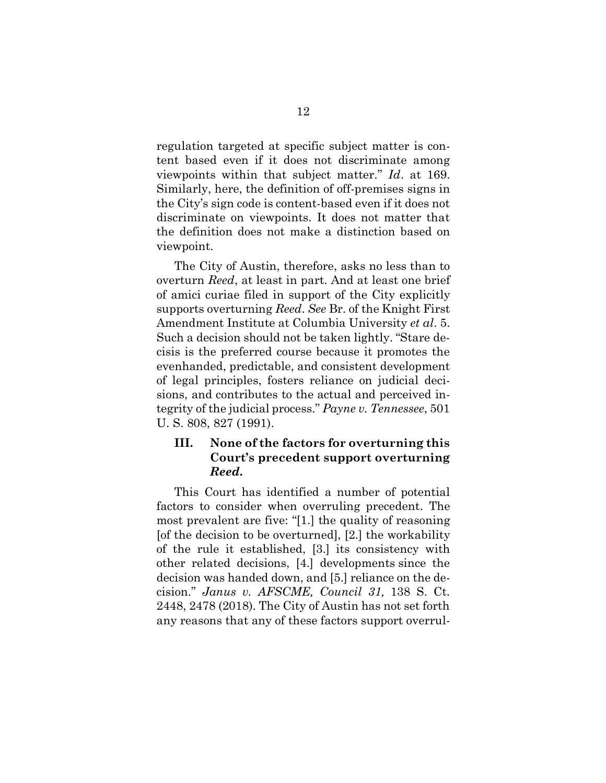regulation targeted at specific subject matter is content based even if it does not discriminate among viewpoints within that subject matter." *Id*. at 169. Similarly, here, the definition of off-premises signs in the City's sign code is content-based even if it does not discriminate on viewpoints. It does not matter that the definition does not make a distinction based on viewpoint.

The City of Austin, therefore, asks no less than to overturn *Reed*, at least in part. And at least one brief of amici curiae filed in support of the City explicitly supports overturning *Reed*. *See* Br. of the Knight First Amendment Institute at Columbia University *et al*. 5. Such a decision should not be taken lightly. "Stare decisis is the preferred course because it promotes the evenhanded, predictable, and consistent development of legal principles, fosters reliance on judicial decisions, and contributes to the actual and perceived integrity of the judicial process." *Payne v. Tennessee*, 501 U. S. 808, 827 (1991).

### **III. None of the factors for overturning this Court's precedent support overturning**  *Reed***.**

This Court has identified a number of potential factors to consider when overruling precedent. The most prevalent are five: "[1.] the quality of reasoning [of the decision to be overturned], [2.] the workability of the rule it established, [3.] its consistency with other related decisions, [4.] developments since the decision was handed down, and [5.] reliance on the decision." *Janus v. AFSCME, Council 31,* 138 S. Ct. 2448, 2478 (2018). The City of Austin has not set forth any reasons that any of these factors support overrul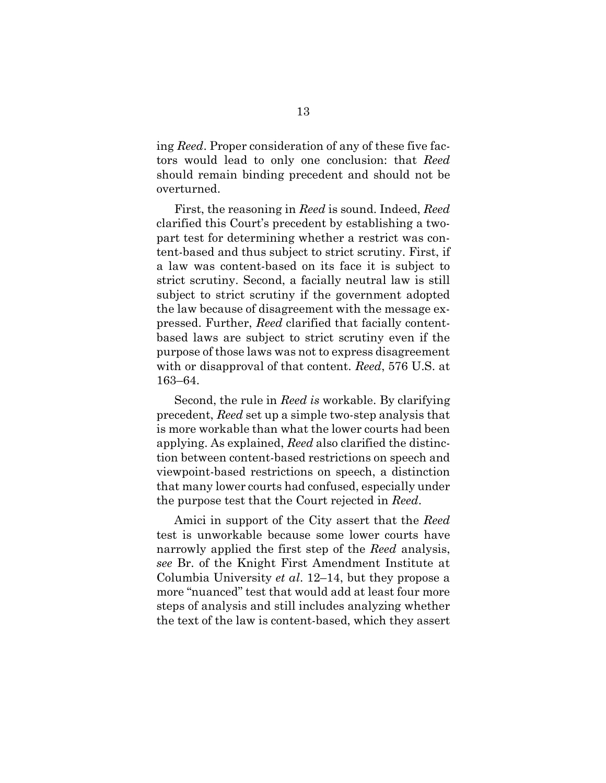ing *Reed*. Proper consideration of any of these five factors would lead to only one conclusion: that *Reed* should remain binding precedent and should not be overturned.

First, the reasoning in *Reed* is sound. Indeed, *Reed* clarified this Court's precedent by establishing a twopart test for determining whether a restrict was content-based and thus subject to strict scrutiny. First, if a law was content-based on its face it is subject to strict scrutiny. Second, a facially neutral law is still subject to strict scrutiny if the government adopted the law because of disagreement with the message expressed. Further, *Reed* clarified that facially contentbased laws are subject to strict scrutiny even if the purpose of those laws was not to express disagreement with or disapproval of that content. *Reed*, 576 U.S. at 163–64.

Second, the rule in *Reed is* workable. By clarifying precedent, *Reed* set up a simple two-step analysis that is more workable than what the lower courts had been applying. As explained, *Reed* also clarified the distinction between content-based restrictions on speech and viewpoint-based restrictions on speech, a distinction that many lower courts had confused, especially under the purpose test that the Court rejected in *Reed*.

Amici in support of the City assert that the *Reed* test is unworkable because some lower courts have narrowly applied the first step of the *Reed* analysis, *see* Br. of the Knight First Amendment Institute at Columbia University *et al*. 12–14, but they propose a more "nuanced" test that would add at least four more steps of analysis and still includes analyzing whether the text of the law is content-based, which they assert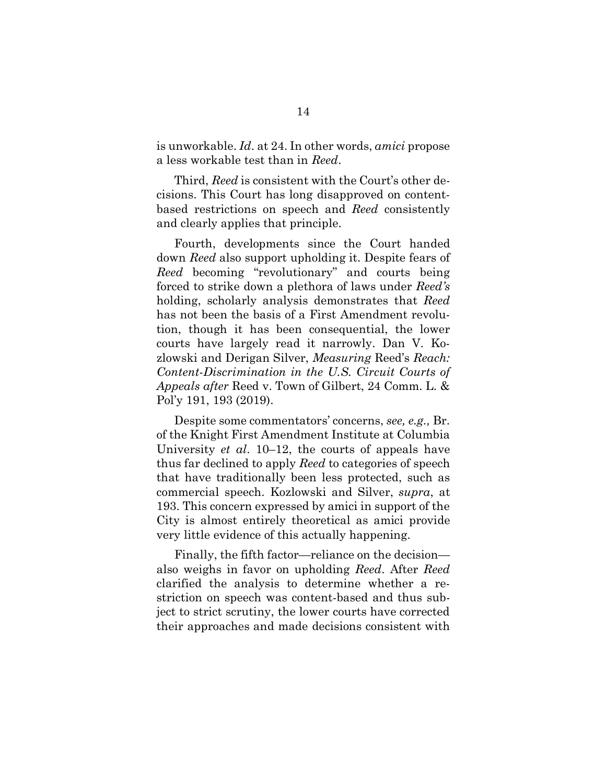is unworkable. *Id*. at 24. In other words, *amici* propose a less workable test than in *Reed*.

Third, *Reed* is consistent with the Court's other decisions. This Court has long disapproved on contentbased restrictions on speech and *Reed* consistently and clearly applies that principle.

Fourth, developments since the Court handed down *Reed* also support upholding it. Despite fears of *Reed* becoming "revolutionary" and courts being forced to strike down a plethora of laws under *Reed's* holding, scholarly analysis demonstrates that *Reed* has not been the basis of a First Amendment revolution, though it has been consequential, the lower courts have largely read it narrowly. Dan V. Kozlowski and Derigan Silver, *Measuring* Reed's *Reach: Content-Discrimination in the U.S. Circuit Courts of Appeals after* Reed v. Town of Gilbert, 24 Comm. L. & Pol'y 191, 193 (2019).

Despite some commentators' concerns, *see, e.g.,* Br. of the Knight First Amendment Institute at Columbia University *et al*. 10–12, the courts of appeals have thus far declined to apply *Reed* to categories of speech that have traditionally been less protected, such as commercial speech. Kozlowski and Silver, *supra*, at 193. This concern expressed by amici in support of the City is almost entirely theoretical as amici provide very little evidence of this actually happening.

Finally, the fifth factor—reliance on the decision also weighs in favor on upholding *Reed*. After *Reed* clarified the analysis to determine whether a restriction on speech was content-based and thus subject to strict scrutiny, the lower courts have corrected their approaches and made decisions consistent with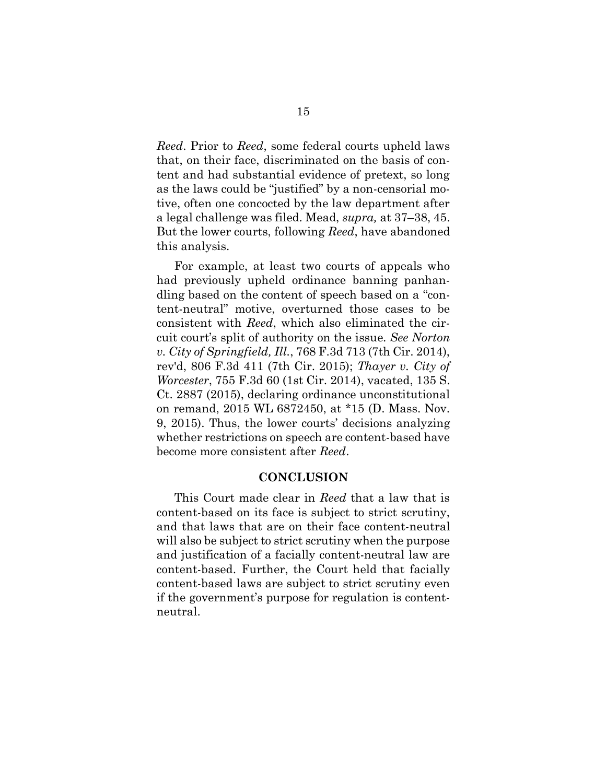*Reed*. Prior to *Reed*, some federal courts upheld laws that, on their face, discriminated on the basis of content and had substantial evidence of pretext, so long as the laws could be "justified" by a non-censorial motive, often one concocted by the law department after a legal challenge was filed. Mead, *supra,* at 37–38, 45. But the lower courts, following *Reed*, have abandoned this analysis.

For example, at least two courts of appeals who had previously upheld ordinance banning panhandling based on the content of speech based on a "content-neutral" motive, overturned those cases to be consistent with *Reed*, which also eliminated the circuit court's split of authority on the issue. *See Norton v. City of Springfield, Ill.*, 768 F.3d 713 (7th Cir. 2014), rev'd, 806 F.3d 411 (7th Cir. 2015); *Thayer v. City of Worcester*, 755 F.3d 60 (1st Cir. 2014), vacated, 135 S. Ct. 2887 (2015), declaring ordinance unconstitutional on remand, 2015 WL 6872450, at \*15 (D. Mass. Nov. 9, 2015). Thus, the lower courts' decisions analyzing whether restrictions on speech are content-based have become more consistent after *Reed*.

#### **CONCLUSION**

This Court made clear in *Reed* that a law that is content-based on its face is subject to strict scrutiny, and that laws that are on their face content-neutral will also be subject to strict scrutiny when the purpose and justification of a facially content-neutral law are content-based. Further, the Court held that facially content-based laws are subject to strict scrutiny even if the government's purpose for regulation is contentneutral.